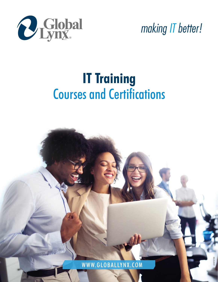

*making IT better!*

# **IT Training** Courses and Certifications

WWW.GLOBALLYNX.COM v20210730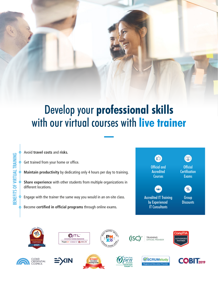## Develop your **professional skills** with our virtual courses with **live trainer**

Avoid **travel costs** and **risks.**

Get trained from your home or office.

**Maintain productivity** by dedicating only 4 hours per day to training.

**Share experience** with other students from multiple organizations in different locations.

Engage with the trainer the same way you would in an on-site class.

Become **certified in official programs** through online exams.

























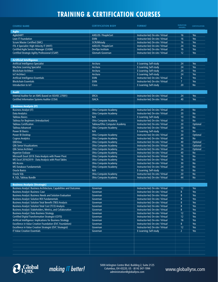## **TRAINING & CERTIFICATION COURSES**

| <b>COURSE NAME</b>                                                                                                            | <b>CERTIFICATION BODY</b>                                    | <b>FORMAT</b>                                                          | <b>DURATION</b><br>(HOURS)           | <b>CERTIFICATION</b>   |
|-------------------------------------------------------------------------------------------------------------------------------|--------------------------------------------------------------|------------------------------------------------------------------------|--------------------------------------|------------------------|
| Agile                                                                                                                         |                                                              |                                                                        |                                      |                        |
| AgileSHIFT                                                                                                                    | <b>AXELOS / PeopleCert</b>                                   | Instructor-led; On-site / Virtual                                      | 16                                   | Yes                    |
| Lean IT Foundation                                                                                                            | <b>EXIN</b>                                                  | Instructor-led; On-site / Virtual                                      | 16                                   | Yes                    |
| <b>Scrum Master Certified (SMC)</b>                                                                                           | SCRUMstudy                                                   | Instructor-led; On-site / Virtual                                      | 16                                   | <b>Yes</b>             |
| ITIL 4 Specialist: High-Velocity IT (HVIT)                                                                                    | <b>AXELOS / PeopleCert</b>                                   | Instructor-led; On-site / Virtual                                      | 24                                   | <b>Yes</b>             |
| <b>Certified Agile Service Manager (CASM)</b>                                                                                 | DevOps Institute                                             | Instructor-led; On-site / Virtual                                      | 16                                   | <b>Yes</b>             |
| Certified Strategic Agility Professional (CSAP)                                                                               | Glomark-Governan                                             | Instructor-led; On-site / Virtual                                      | 12                                   | <b>Yes</b>             |
| <b>Artificial Intelligence</b>                                                                                                |                                                              |                                                                        |                                      |                        |
| Artificial Intelligence Specialist                                                                                            | Arcitura                                                     | E-Learning; Self-study                                                 | 24                                   | <b>Yes</b>             |
| <b>Machine Learning Specialist</b>                                                                                            | Arcitura                                                     | E-Learning; Self-study                                                 | 24                                   | <b>Yes</b>             |
| <b>Blockchain Architect</b>                                                                                                   | Arcitura                                                     | E-Learning; Self-study                                                 | 24                                   | <b>Yes</b>             |
| <b>IoT Architect</b>                                                                                                          | Arcitura                                                     | E-Learning; Self-study                                                 | 24                                   | Yes                    |
| <b>Artificial Intelligence Essentials</b>                                                                                     | <b>EXIN</b>                                                  | Instructor-led; On-site / Virtual                                      | $6\overline{6}$                      | <b>Yes</b>             |
| <b>Blockchain Essentials</b>                                                                                                  | <b>EXIN</b>                                                  | Instructor-led; On-site / Virtual                                      | $\overline{7}$                       | <b>Yes</b>             |
| Introduction to loT                                                                                                           | Cisco                                                        | E-Learning; Self-study                                                 | 20                                   | <b>No</b>              |
|                                                                                                                               |                                                              |                                                                        |                                      |                        |
| <b>Audit</b>                                                                                                                  |                                                              |                                                                        |                                      |                        |
| Internal Auditor for an ISMS (based on ISO/IEC 27001)                                                                         | <b>ERCA</b>                                                  | Instructor-led; On-site / Virtual                                      | 24                                   | <b>Yes</b>             |
| <b>Certified Information Systems Auditor (CISA)</b>                                                                           | <b>ISACA</b>                                                 | Instructor-led; On-site / Virtual                                      | 40                                   | <b>Yes</b>             |
| <b>Business Analysis (IT)</b>                                                                                                 |                                                              |                                                                        |                                      |                        |
| <b>Business Analyst (IT)</b>                                                                                                  | <b>Ohio Computer Academy</b>                                 | Instructor-led; On-site / Virtual                                      | 24                                   | <b>No</b>              |
| <b>Data Analytics</b>                                                                                                         | <b>Ohio Computer Academy</b>                                 | Instructor-led; On-site / Virtual                                      | 20                                   | <b>No</b>              |
| <b>Tableau Basics</b>                                                                                                         | N/A                                                          | E-Learning; Self-study                                                 | 10                                   | <b>No</b>              |
| Tableau for Beginners (Introduction)                                                                                          | <b>Ohio Computer Academy</b>                                 | Instructor-led: On-site / Virtual                                      | 10                                   | <b>No</b>              |
| <b>Tableau Certification</b>                                                                                                  | Tableau/Ohio Computer Academy                                | Instructor-led; On-site / Virtual                                      | 20                                   | Optional               |
| <b>Tableau Advanced</b>                                                                                                       | <b>Ohio Computer Academy</b>                                 | Instructor-led; On-site / Virtual                                      | 20                                   | <b>No</b>              |
| <b>Power BI Basics</b>                                                                                                        | N/A                                                          | E-Learning; Self-study                                                 | 10                                   | <b>No</b>              |
| Power BI Desktop                                                                                                              | Ohio Computer Academy                                        | Instructor-led; On-site / Virtual                                      | 20                                   | Optional               |
| <b>Cognos Analytics</b>                                                                                                       | <b>Ohio Computer Academy</b>                                 | Instructor-led; On-site / Virtual                                      | 40                                   | <b>No</b>              |
| <b>QlikView</b>                                                                                                               | <b>Ohio Computer Academy</b>                                 | Instructor-led; On-site / Virtual                                      | 40                                   | Optional               |
| <b>Qlik Sense Visualizations</b>                                                                                              | <b>Ohio Computer Academy</b>                                 | Instructor-led; On-site / Virtual                                      | 16                                   | Optional               |
| <b>Qlik Sense Architect</b>                                                                                                   | <b>Ohio Computer Academy</b>                                 | Instructor-led; On-site / Virtual                                      | 24                                   | Optional               |
| <b>Hyperion Essbase</b>                                                                                                       | <b>Ohio Computer Academy</b>                                 | Instructor-led; On-site / Virtual                                      | 40                                   | <b>No</b>              |
| Microsoft Excel 2019: Data Analysis with Power Pivot<br>MS Excel 2016/2019 - Data Analysis with Pivot Tables                  | <b>Ohio Computer Academy</b><br><b>Ohio Computer Academy</b> | Instructor-led; On-site / Virtual                                      | 16<br>16                             | <b>No</b><br><b>No</b> |
| <b>MS Access</b>                                                                                                              | <b>Ohio Computer Academy</b>                                 | Instructor-led; On-site / Virtual<br>Instructor-led; On-site / Virtual | 30                                   | <b>No</b>              |
| <b>MS Database Fundamentals</b>                                                                                               | <b>Ohio Computer Academy</b>                                 | Instructor-led; On-site / Virtual                                      | 24                                   | <b>No</b>              |
| <b>Oracle Basics</b>                                                                                                          | N/A                                                          | E-Learning; Self-study                                                 | 10                                   | <b>No</b>              |
| Oracle SQL                                                                                                                    | <b>Ohio Computer Academy</b>                                 | Instructor-led; On-site / Virtual                                      | 20                                   | <b>No</b>              |
| R, SQL, Tableau Bundle                                                                                                        | <b>Ohio Computer Academy</b>                                 | Instructor-led; On-site / Virtual                                      | 44                                   | <b>No</b>              |
|                                                                                                                               |                                                              |                                                                        |                                      |                        |
| <b>Business Analysis (Strategic)</b>                                                                                          |                                                              |                                                                        |                                      |                        |
| Business Analyst: Business Architecture, Capabilities and Outcomes                                                            | Governan                                                     | Instructor-led; On-site / Virtual                                      | 12                                   | Yes                    |
| <b>Business Analyst: Business Case</b>                                                                                        | Governan                                                     | Instructor-led; On-site / Virtual                                      | $\bf 8$                              | Yes                    |
| <b>Business Analyst: Business Needs and Solution Evaluation</b>                                                               | Governan                                                     | Instructor-led; On-site / Virtual                                      | $\boldsymbol{8}$                     | Yes                    |
| <b>Business Analyst: Solution ROI Fundamentals</b>                                                                            | Governan                                                     | Instructor-led; On-site / Virtual                                      | $8\phantom{1}$                       | Yes                    |
| <b>Business Analyst: Solution Total Benefit (TBO) Analysis</b><br><b>Business Analyst: Solution Total Cost (TCO) Analysis</b> | Governan<br>Governan                                         | Instructor-led; On-site / Virtual<br>Instructor-led: On-site / Virtual | $\boldsymbol{8}$<br>$\boldsymbol{8}$ | Yes                    |
| Business Analyst: Stakeholders, Metrics, and Collaboration                                                                    | Governan                                                     | Instructor-led; On-site / Virtual                                      | $\boldsymbol{8}$                     | Yes<br>Yes             |
| <b>Business Analyst: Data Business Strategy</b>                                                                               | Governan                                                     | Instructor-led; On-site / Virtual                                      | 12                                   | Yes                    |
| <b>Certified Digital Transformation Strategist (CDTS)</b>                                                                     | Governan                                                     | Instructor-led; On-site / Virtual                                      | 12                                   | Yes                    |
| Artificial Intelligence: Implications for Business Strategy                                                                   | Governan                                                     | Instructor-led; On-site / Virtual                                      | 16                                   | Yes                    |
| Excellence in Value Creation Foundation (EVC Foundation)                                                                      | Governan                                                     | Instructor-led; On-site / Virtual                                      | $8\phantom{.}$                       | Yes                    |
| Excellence in Value Creation Strategist (EVC Strategist)                                                                      | Governan                                                     | Instructor-led; On-site / Virtual                                      | $\overline{12}$                      | Yes                    |
| <b>IT Value Creation Essentials</b>                                                                                           | Governan                                                     | E-Learning; Self-study                                                 | $\overline{2}$                       | Yes                    |
|                                                                                                                               |                                                              |                                                                        |                                      |                        |
|                                                                                                                               |                                                              |                                                                        |                                      |                        |
|                                                                                                                               |                                                              |                                                                        |                                      |                        |
|                                                                                                                               |                                                              |                                                                        |                                      |                        |
|                                                                                                                               |                                                              |                                                                        |                                      |                        |
|                                                                                                                               |                                                              |                                                                        |                                      |                        |



*making IT better!*<br>administration@qloballynx.com and the stration@dloballynx.com and this administration@qloballynx.com 5000 Arlington Centre Blvd. Building 2, Suite 2125 Columbus, OH 43220, US · (614) 347-1994 administration@globallynx.com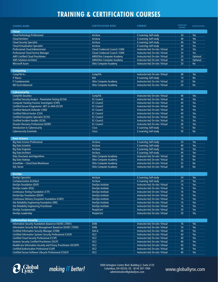## **TRAINING & CERTIFICATION COURSES**

| <b>COURSE NAME</b>                                                | <b>CERTIFICATION BODY</b>              | <b>FORMAT</b>                     | <b>DURATION</b><br>(HOURS) | <b>CERTIFICATION</b> |
|-------------------------------------------------------------------|----------------------------------------|-----------------------------------|----------------------------|----------------------|
| <b>Cloud</b>                                                      |                                        |                                   |                            |                      |
| <b>Cloud Technology Professional</b>                              | Arcitura                               | E-Learning; Self-study            | 24                         | Yes                  |
| <b>Cloud Architect</b>                                            | Arcitura                               | E-Learning; Self-study            | 40                         | Yes                  |
| <b>Cloud Security Specialist</b>                                  | Arcitura                               | E-Learning; Self-study            | 40                         | Yes                  |
| <b>Cloud Virtualization Specialist</b>                            | Arcitura                               | E-Learning; Self-study            | 40                         | Yes                  |
| <b>Professional Cloud Administrator</b>                           | <b>Cloud Credencial Council / EXIN</b> | Instructor-led; On-site / Virtual | 24                         | Yes                  |
| <b>Professional Cloud Service Manager</b>                         | <b>Cloud Credencial Council / EXIN</b> | Instructor-led; On-site / Virtual | 24                         | Yes                  |
| <b>AWS Certified Cloud Practitioner</b>                           | AWS/Ohio Computer Academy              | Instructor-led; On-site / Virtual | 20                         | Optional             |
| <b>AWS Solutions Architect</b>                                    | <b>AWS/Ohio Computer Academy</b>       | Instructor-led; On-site / Virtual | 30                         | Optional             |
| <b>Microsoft Azure</b>                                            | <b>Ohio Computer Academy</b>           | Instructor-led; On-site / Virtual | 20                         | <b>No</b>            |
|                                                                   |                                        |                                   |                            |                      |
| <b>Computing</b>                                                  |                                        |                                   |                            |                      |
| CompTIA A+                                                        | CompTIA                                | Instructor-led; On-site / Virtual | 40                         | Yes                  |
| <b>IT Basics</b>                                                  | N/A                                    | E-Learning; Self-study            | 10                         | <b>No</b>            |
| <b>IT Fundamentals</b>                                            | <b>Ohio Computer Academy</b>           | Instructor-led; On-site / Virtual | 20                         | <b>No</b>            |
| <b>MS Excel Advanced</b>                                          | <b>Ohio Computer Academy</b>           | Instructor-led; On-site / Virtual | 20                         | <b>No</b>            |
| <b>Cybersecurity</b>                                              |                                        |                                   |                            |                      |
| CompTIA Security+                                                 | CompTIA                                | Instructor-led; On-site / Virtual | 40                         | Yes                  |
| Certified Security Analyst - Penetration Testing (ECSA)           | <b>EC-Council</b>                      | Instructor-led; On-site / Virtual | 40                         | Yes                  |
| <b>Computer Hacking Forensic Investigator (CHFI)</b>              | <b>EC-Council</b>                      | Instructor-led; On-site / Virtual | 40                         | <b>Yes</b>           |
| Certified Secure Programmer .NET or JAVA (ECSP)                   | <b>EC-Council</b>                      | Instructor-led; On-site / Virtual | 24                         | Yes                  |
| <b>Certified Network Defender (CND)</b>                           | <b>EC-Council</b>                      | Instructor-led; On-site / Virtual | 40                         | Yes                  |
| <b>Certified Ethical Hacker (CEH)</b>                             | <b>EC-Council</b>                      | Instructor-led; On-site / Virtual | 40                         | <b>Yes</b>           |
| <b>Certified Encryption Specialist (ECES)</b>                     | <b>EC-Council</b>                      | Instructor-led; On-site / Virtual | 24                         | Yes                  |
| Certified Incident Handler (ECIH)                                 | <b>EC-Council</b>                      | Instructor-led; On-site / Virtual | 16                         | Yes                  |
| <b>Disaster Recovery Professional (EDRP)</b>                      | <b>EC-Council</b>                      | Instructor-led; On-site / Virtual | 40                         | <b>Yes</b>           |
| Introduction to Cybersecurity                                     | Cisco                                  | E-Learning; Self-study            | 15                         | <b>No</b>            |
| <b>Cybersecurity Essentials</b>                                   | Cisco                                  | E-Learning; Self-study            | 30                         | <b>No</b>            |
|                                                                   |                                        |                                   |                            |                      |
| <b>Data Science</b><br><b>Big Data Science Professional</b>       | Arcitura                               | E-Learning; Self-study            | 24                         | <b>Yes</b>           |
| <b>Big Data Scientist</b>                                         | Arcitura                               | E-Learning; Self-study            | 40                         | <b>Yes</b>           |
| <b>Big Data Engineer</b>                                          | Arcitura                               | E-Learning; Self-study            | 40                         | <b>Yes</b>           |
| <b>Big Data Architect</b>                                         | Arcitura                               | E-Learning; Self-study            | 40                         | Yes                  |
| Data Structures and Algorithms                                    | <b>Ohio Computer Academy</b>           | Instructor-led; On-site / Virtual | 30                         | <b>No</b>            |
| <b>Big Data Hadoop</b>                                            | <b>Ohio Computer Academy</b>           | Instructor-led; On-site / Virtual | 35                         | <b>No</b>            |
| Snowflake - Cloud Data Warehouse                                  | <b>Ohio Computer Academy</b>           | Instructor-led; On-site / Virtual | 25                         | <b>No</b>            |
| <b>SQL Server</b>                                                 | <b>Ohio Computer Academy</b>           | Instructor-led; On-site / Virtual | 30                         | <b>No</b>            |
|                                                                   |                                        |                                   |                            |                      |
| <b>DevOps</b>                                                     |                                        |                                   |                            |                      |
| <b>DevOps Specialist</b>                                          | Arcitura                               | E-Learning; Self-study            | 24                         | <b>Yes</b>           |
| <b>Containerization Architect</b>                                 | Arcitura                               | E-Learning; Self-study            | 24                         | <b>Yes</b>           |
| DevOps Foundation (DOF)                                           | <b>DevOps Institute</b>                | Instructor-led; On-site / Virtual | 16                         | Yes                  |
| DevOps Leader (DOL)                                               | DevOps Institute                       | Instructor-led; On-site / Virtual | 16                         | Yes                  |
| <b>Continuous Testing Foundation (CTF)</b>                        | DevOps Institute                       | Instructor-led; On-site / Virtual | 16                         | Yes                  |
| DevSecOps Foundation (DSOF)                                       | DevOps Institute                       | Instructor-led; On-site / Virtual | 16                         | Yes                  |
| Continuous Delivery Ecosystem Foundation (CDEF)                   | DevOps Institute                       | Instructor-led; On-site / Virtual | 16                         | Yes                  |
| Site Reliability Engineering Foundation (SRE)                     | DevOps Institute                       | Instructor-led; On-site / Virtual | 16                         | Yes                  |
| <b>Site Reliability Engineering Practitioner</b>                  | DevOps Institute                       | Instructor-led; On-site / Virtual | 16                         | Yes                  |
| DevOps Fundamentals                                               | PeopleCert                             | Instructor-led; On-site / Virtual | 20                         | Yes                  |
| DevOps Leadership                                                 | PeopleCert                             | Instructor-led; On-site / Virtual | 20                         | Yes                  |
| <b>Information Security</b>                                       |                                        |                                   |                            |                      |
| Information Security Foundation (based on ISO/IEC 27001)          | <b>EXIN</b>                            | Instructor-led; On-site / Virtual | 16                         | Yes                  |
| Information Security Risk Management (based on ISO/IEC 27005)     | <b>EXIN</b>                            | Instructor-led; On-site / Virtual | 16                         | Yes                  |
| <b>Certified Information Security Manager (CISM)</b>              | <b>ISACA</b>                           | Instructor-led; On-site / Virtual | 40                         | Yes                  |
| Certified Information Systems Security Professional (CISSP)       | ISC <sub>2</sub>                       | Instructor-led; On-site / Virtual | 40                         | Yes                  |
| Certified Cloud Security Professional (CCSP)                      | ISCZ                                   | Instructor-led; On-site / Virtual | 40                         | Yes                  |
| <b>Systems Security Certified Practitioner (SSCP)</b>             | ISC <sub>2</sub>                       | Instructor-led; On-site / Virtual | 40                         | Yes                  |
| HealthCare Information Security and Privacy Practitioner (HCISPP) | ISC <sub>2</sub>                       | Instructor-led; On-site / Virtual | 40                         | Yes                  |
| <b>Certified Authorization Professional (CAP)</b>                 | ISCZ                                   | Instructor-led; On-site / Virtual | 40                         | Yes                  |
| Certified Secure Software Lifecycle Professional (CSSLP)          | ISC <sub>2</sub>                       | Instructor-led; On-site / Virtual | 40                         | Yes                  |



*making IT better!*<br>administration@globallynx.com www.globallynx.com 5000 Arlington Centre Blvd. Building 2, Suite 2125 Columbus, OH 43220, US · (614) 347-1994 administration@globallynx.com